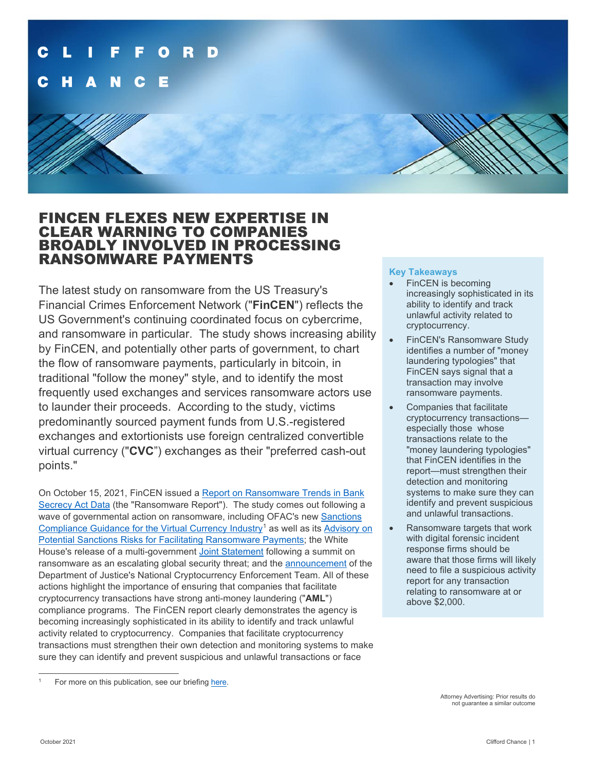

# FINCEN FLEXES NEW EXPERTISE IN CLEAR WARNING TO COMPANIES BROADLY INVOLVED IN PROCESSING RANSOMWARE PAYMENTS

The latest study on ransomware from the US Treasury's Financial Crimes Enforcement Network ("**FinCEN**") reflects the US Government's continuing coordinated focus on cybercrime, and ransomware in particular. The study shows increasing ability by FinCEN, and potentially other parts of government, to chart the flow of ransomware payments, particularly in bitcoin, in traditional "follow the money" style, and to identify the most frequently used exchanges and services ransomware actors use to launder their proceeds. According to the study, victims predominantly sourced payment funds from U.S.-registered exchanges and extortionists use foreign centralized convertible virtual currency ("**CVC**") exchanges as their "preferred cash-out points."

On October 15, 2021, FinCEN issued [a Report on Ransomware Trends in Bank](https://www.fincen.gov/sites/default/files/2021-10/Financial%20Trend%20Analysis_Ransomware%20508%20FINAL.pdf)  [Secrecy Act Data](https://www.fincen.gov/sites/default/files/2021-10/Financial%20Trend%20Analysis_Ransomware%20508%20FINAL.pdf) (the "Ransomware Report"). The study comes out following a wave of governmental action on ransomware, including OFAC's new [Sanctions](https://home.treasury.gov/system/files/126/virtual_currency_guidance_brochure.pdf)  [Compliance Guidance for the Virtual Currency Industry](https://home.treasury.gov/system/files/126/virtual_currency_guidance_brochure.pdf)<sup>[1](#page-0-0)</sup> as well as its Advisory on [Potential Sanctions Risks for Facilitating Ransomware Payments;](https://home.treasury.gov/system/files/126/ofac_ransomware_advisory.pdf) the White House's release of a multi-governmen[t Joint Statement](https://www.whitehouse.gov/briefing-room/statements-releases/2021/10/14/joint-statement-of-the-ministers-and-representatives-from-the-counter-ransomware-initiative-meeting-october-2021/) following a summit on ransomware as an escalating global security threat; and the [announcement](https://www.justice.gov/opa/pr/deputy-attorney-general-lisa-o-monaco-announces-national-cryptocurrency-enforcement-team) of the Department of Justice's National Cryptocurrency Enforcement Team. All of these actions highlight the importance of ensuring that companies that facilitate cryptocurrency transactions have strong anti-money laundering ("**AML**") compliance programs. The FinCEN report clearly demonstrates the agency is becoming increasingly sophisticated in its ability to identify and track unlawful activity related to cryptocurrency. Companies that facilitate cryptocurrency transactions must strengthen their own detection and monitoring systems to make sure they can identify and prevent suspicious and unlawful transactions or face

### **Key Takeaways**

- FinCEN is becoming increasingly sophisticated in its ability to identify and track unlawful activity related to cryptocurrency.
- FinCEN's Ransomware Study identifies a number of "money laundering typologies" that FinCEN says signal that a transaction may involve ransomware payments.
- Companies that facilitate cryptocurrency transactions especially those whose transactions relate to the "money laundering typologies" that FinCEN identifies in the report—must strengthen their detection and monitoring systems to make sure they can identify and prevent suspicious and unlawful transactions.
- Ransomware targets that work with digital forensic incident response firms should be aware that those firms will likely need to file a suspicious activity report for any transaction relating to ransomware at or above \$2,000.

<span id="page-0-0"></span>For more on this publication, see our briefing [here.](https://www.cliffordchance.com/briefings/2021/10/ofac-urges-the-virtual-currency-industry-to-get-real-about-sanct.html)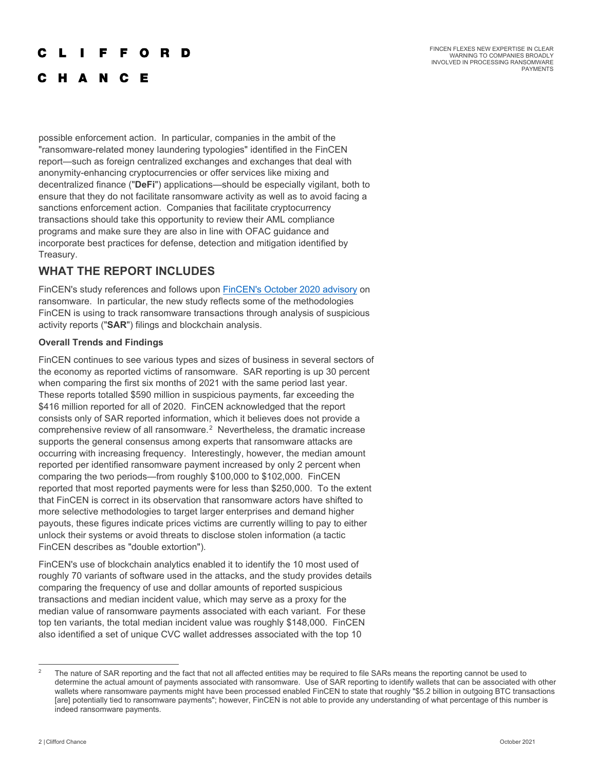#### $\blacksquare$ F F O R D

FINCEN FLEXES NEW EXPERTISE IN CLEAR WARNING TO COMPANIES BROADLY INVOLVED IN PROCESSING RANSOMWARE **PAYMENTS** 

# C H A N C E

possible enforcement action. In particular, companies in the ambit of the "ransomware-related money laundering typologies" identified in the FinCEN report—such as foreign centralized exchanges and exchanges that deal with anonymity-enhancing cryptocurrencies or offer services like mixing and decentralized finance ("**DeFi**") applications—should be especially vigilant, both to ensure that they do not facilitate ransomware activity as well as to avoid facing a sanctions enforcement action. Companies that facilitate cryptocurrency transactions should take this opportunity to review their AML compliance programs and make sure they are also in line with OFAC guidance and incorporate best practices for defense, detection and mitigation identified by Treasury.

## **WHAT THE REPORT INCLUDES**

FinCEN's study references and follows upon [FinCEN's October 2020 advisory](https://www.fincen.gov/sites/default/files/advisory/2020-10-01/Advisory%20Ransomware%20FINAL%20508.pdf) on ransomware. In particular, the new study reflects some of the methodologies FinCEN is using to track ransomware transactions through analysis of suspicious activity reports ("**SAR**") filings and blockchain analysis.

## **Overall Trends and Findings**

FinCEN continues to see various types and sizes of business in several sectors of the economy as reported victims of ransomware. SAR reporting is up 30 percent when comparing the first six months of 2021 with the same period last year. These reports totalled \$590 million in suspicious payments, far exceeding the \$416 million reported for all of 2020. FinCEN acknowledged that the report consists only of SAR reported information, which it believes does not provide a comprehensive review of all ransomware. $2$  Nevertheless, the dramatic increase supports the general consensus among experts that ransomware attacks are occurring with increasing frequency. Interestingly, however, the median amount reported per identified ransomware payment increased by only 2 percent when comparing the two periods—from roughly \$100,000 to \$102,000. FinCEN reported that most reported payments were for less than \$250,000. To the extent that FinCEN is correct in its observation that ransomware actors have shifted to more selective methodologies to target larger enterprises and demand higher payouts, these figures indicate prices victims are currently willing to pay to either unlock their systems or avoid threats to disclose stolen information (a tactic FinCEN describes as "double extortion").

FinCEN's use of blockchain analytics enabled it to identify the 10 most used of roughly 70 variants of software used in the attacks, and the study provides details comparing the frequency of use and dollar amounts of reported suspicious transactions and median incident value, which may serve as a proxy for the median value of ransomware payments associated with each variant. For these top ten variants, the total median incident value was roughly \$148,000. FinCEN also identified a set of unique CVC wallet addresses associated with the top 10

<span id="page-1-0"></span><sup>2</sup> The nature of SAR reporting and the fact that not all affected entities may be required to file SARs means the reporting cannot be used to determine the actual amount of payments associated with ransomware. Use of SAR reporting to identify wallets that can be associated with other wallets where ransomware payments might have been processed enabled FinCEN to state that roughly "\$5.2 billion in outgoing BTC transactions [are] potentially tied to ransomware payments"; however, FinCEN is not able to provide any understanding of what percentage of this number is indeed ransomware payments.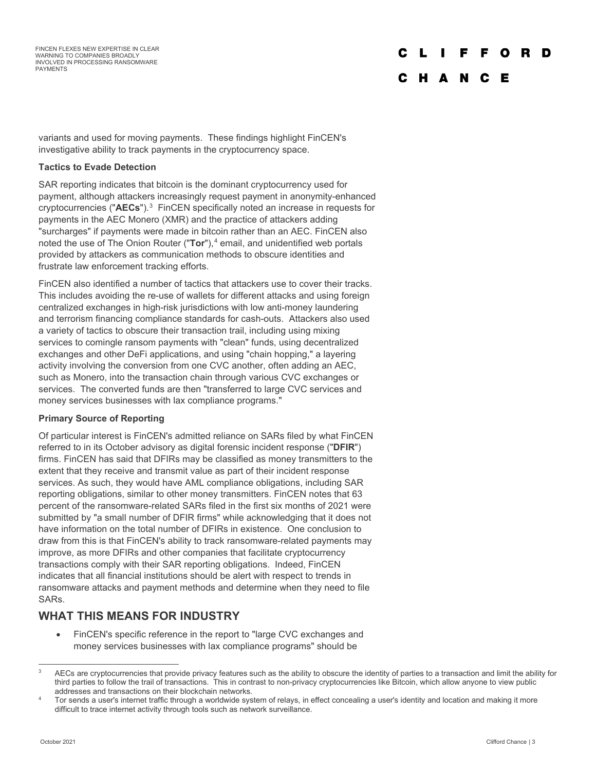#### $\mathbf{L}$ F F O **D** D

## C H A N C E

variants and used for moving payments. These findings highlight FinCEN's investigative ability to track payments in the cryptocurrency space.

## **Tactics to Evade Detection**

SAR reporting indicates that bitcoin is the dominant cryptocurrency used for payment, although attackers increasingly request payment in anonymity-enhanced cryptocurrencies ("**AECs**").[3](#page-2-0) FinCEN specifically noted an increase in requests for payments in the AEC Monero (XMR) and the practice of attackers adding "surcharges" if payments were made in bitcoin rather than an AEC. FinCEN also noted the use of The Onion Router ("Tor"),<sup>[4](#page-2-1)</sup> email, and unidentified web portals provided by attackers as communication methods to obscure identities and frustrate law enforcement tracking efforts.

FinCEN also identified a number of tactics that attackers use to cover their tracks. This includes avoiding the re-use of wallets for different attacks and using foreign centralized exchanges in high-risk jurisdictions with low anti-money laundering and terrorism financing compliance standards for cash-outs. Attackers also used a variety of tactics to obscure their transaction trail, including using mixing services to comingle ransom payments with "clean" funds, using decentralized exchanges and other DeFi applications, and using "chain hopping," a layering activity involving the conversion from one CVC another, often adding an AEC, such as Monero, into the transaction chain through various CVC exchanges or services. The converted funds are then "transferred to large CVC services and money services businesses with lax compliance programs."

## **Primary Source of Reporting**

Of particular interest is FinCEN's admitted reliance on SARs filed by what FinCEN referred to in its October advisory as digital forensic incident response ("**DFIR**") firms. FinCEN has said that DFIRs may be classified as money transmitters to the extent that they receive and transmit value as part of their incident response services. As such, they would have AML compliance obligations, including SAR reporting obligations, similar to other money transmitters. FinCEN notes that 63 percent of the ransomware-related SARs filed in the first six months of 2021 were submitted by "a small number of DFIR firms" while acknowledging that it does not have information on the total number of DFIRs in existence. One conclusion to draw from this is that FinCEN's ability to track ransomware-related payments may improve, as more DFIRs and other companies that facilitate cryptocurrency transactions comply with their SAR reporting obligations. Indeed, FinCEN indicates that all financial institutions should be alert with respect to trends in ransomware attacks and payment methods and determine when they need to file SARs.

## **WHAT THIS MEANS FOR INDUSTRY**

• FinCEN's specific reference in the report to "large CVC exchanges and money services businesses with lax compliance programs" should be

<span id="page-2-0"></span>AECs are cryptocurrencies that provide privacy features such as the ability to obscure the identity of parties to a transaction and limit the ability for third parties to follow the trail of transactions. This in contrast to non-privacy cryptocurrencies like Bitcoin, which allow anyone to view public

<span id="page-2-1"></span>addresses and transactions on their blockchain networks.<br>Tor sends a user's internet traffic through a worldwide system of relays, in effect concealing a user's identity and location and making it more difficult to trace internet activity through tools such as network surveillance.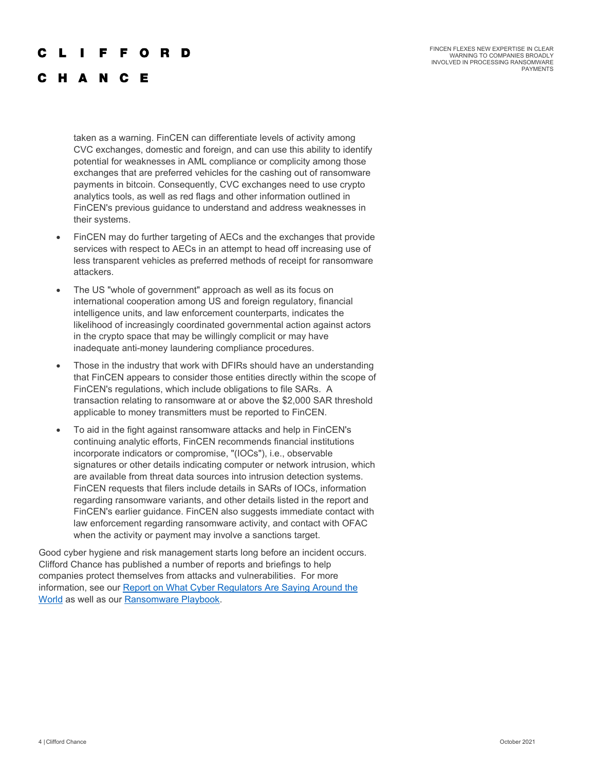## F F O R D

FINCEN FLEXES NEW EXPERTISE IN CLEAR WARNING TO COMPANIES BROADLY INVOLVED IN PROCESSING RANSOMWARE **PAYMENTS** 

## C H A N C E

taken as a warning. FinCEN can differentiate levels of activity among CVC exchanges, domestic and foreign, and can use this ability to identify potential for weaknesses in AML compliance or complicity among those exchanges that are preferred vehicles for the cashing out of ransomware payments in bitcoin. Consequently, CVC exchanges need to use crypto analytics tools, as well as red flags and other information outlined in FinCEN's previous guidance to understand and address weaknesses in their systems.

- FinCEN may do further targeting of AECs and the exchanges that provide services with respect to AECs in an attempt to head off increasing use of less transparent vehicles as preferred methods of receipt for ransomware attackers.
- The US "whole of government" approach as well as its focus on international cooperation among US and foreign regulatory, financial intelligence units, and law enforcement counterparts, indicates the likelihood of increasingly coordinated governmental action against actors in the crypto space that may be willingly complicit or may have inadequate anti-money laundering compliance procedures.
- Those in the industry that work with DFIRs should have an understanding that FinCEN appears to consider those entities directly within the scope of FinCEN's regulations, which include obligations to file SARs. A transaction relating to ransomware at or above the \$2,000 SAR threshold applicable to money transmitters must be reported to FinCEN.
- To aid in the fight against ransomware attacks and help in FinCEN's continuing analytic efforts, FinCEN recommends financial institutions incorporate indicators or compromise, "(IOCs"), i.e., observable signatures or other details indicating computer or network intrusion, which are available from threat data sources into intrusion detection systems. FinCEN requests that filers include details in SARs of IOCs, information regarding ransomware variants, and other details listed in the report and FinCEN's earlier guidance. FinCEN also suggests immediate contact with law enforcement regarding ransomware activity, and contact with OFAC when the activity or payment may involve a sanctions target.

Good cyber hygiene and risk management starts long before an incident occurs. Clifford Chance has published a number of reports and briefings to help companies protect themselves from attacks and vulnerabilities. For more information, see our [Report on What Cyber Regulators Are Saying Around the](https://www.cliffordchance.com/briefings/2020/12/cyber-security-what-regulators-are-saying.html)  [World](https://www.cliffordchance.com/briefings/2020/12/cyber-security-what-regulators-are-saying.html) as well as our [Ransomware Playbook.](https://talkingtech.cliffordchance.com/en/data-cyber/cyber/the-ransomware-playbook---prevent-and-prepare.html)